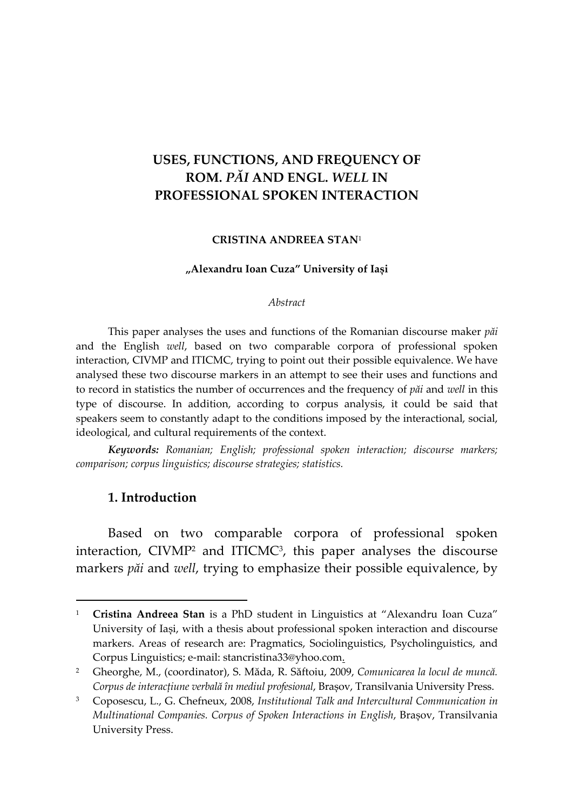# **USES, FUNCTIONS, AND FREQUENCY OF ROM.** *PĂI* **AND ENGL.** *WELL* **IN PROFESSIONAL SPOKEN INTERACTION**

#### **CRISTINA ANDREEA STAN**<sup>1</sup>

#### **"Alexandru Ioan Cuza" University of Iași**

#### *Abstract*

This paper analyses the uses and functions of the Romanian discourse maker *păi*  and the English *well*, based on two comparable corpora of professional spoken interaction, CIVMP and ITICMC, trying to point out their possible equivalence. We have analysed these two discourse markers in an attempt to see their uses and functions and to record in statistics the number of occurrences and the frequency of *păi* and *well* in this type of discourse. In addition, according to corpus analysis, it could be said that speakers seem to constantly adapt to the conditions imposed by the interactional, social, ideological, and cultural requirements of the context.

*Keywords: Romanian; English; professional spoken interaction; discourse markers; comparison; corpus linguistics; discourse strategies; statistics.*

### **1. Introduction**

Based on two comparable corpora of professional spoken interaction, CIVMP<sup>2</sup> and ITICMC<sup>3</sup> , this paper analyses the discourse markers *păi* and *well*, trying to emphasize their possible equivalence, by

<sup>1</sup> **Cristina Andreea Stan** is a PhD student in Linguistics at "Alexandru Ioan Cuza" University of Iași, with a thesis about professional spoken interaction and discourse markers. Areas of research are: Pragmatics, Sociolinguistics, Psycholinguistics, and Corpus Linguistics; e-mail: stancristina33@yhoo.com.

<sup>2</sup> Gheorghe, M., (coordinator), S. Măda, R. Săftoiu, 2009, *Comunicarea la locul de muncă. Corpus de interacțiune verbală în mediul profesional*, Brașov, Transilvania University Press.

<sup>3</sup> Coposescu, L., G. Chefneux, 2008, *Institutional Talk and Intercultural Communication in Multinational Companies. Corpus of Spoken Interactions in English*, Brașov, Transilvania University Press.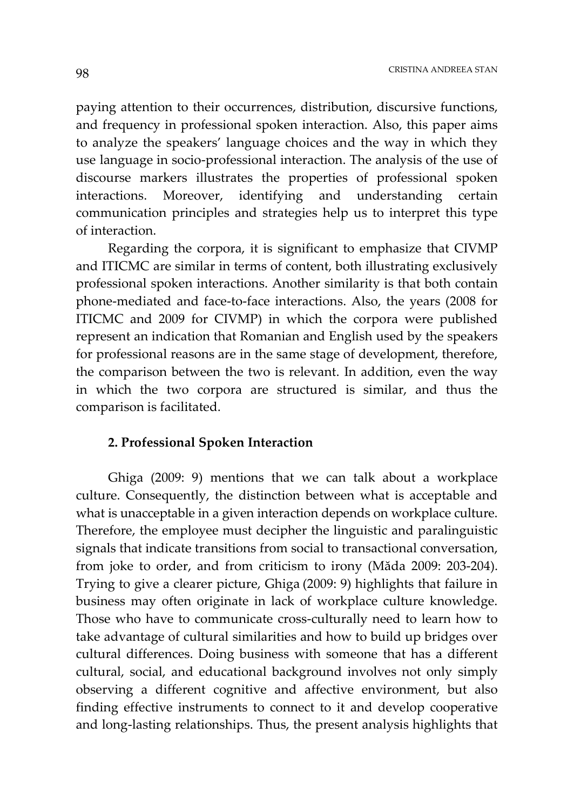paying attention to their occurrences, distribution, discursive functions, and frequency in professional spoken interaction. Also, this paper aims to analyze the speakers' language choices and the way in which they use language in socio-professional interaction. The analysis of the use of discourse markers illustrates the properties of professional spoken interactions. Moreover, identifying and understanding certain communication principles and strategies help us to interpret this type of interaction.

Regarding the corpora, it is significant to emphasize that CIVMP and ITICMC are similar in terms of content, both illustrating exclusively professional spoken interactions. Another similarity is that both contain phone-mediated and face-to-face interactions. Also, the years (2008 for ITICMC and 2009 for CIVMP) in which the corpora were published represent an indication that Romanian and English used by the speakers for professional reasons are in the same stage of development, therefore, the comparison between the two is relevant. In addition, even the way in which the two corpora are structured is similar, and thus the comparison is facilitated.

#### **2. Professional Spoken Interaction**

Ghiga (2009: 9) mentions that we can talk about a workplace culture. Consequently, the distinction between what is acceptable and what is unacceptable in a given interaction depends on workplace culture. Therefore, the employee must decipher the linguistic and paralinguistic signals that indicate transitions from social to transactional conversation, from joke to order, and from criticism to irony (Măda 2009: 203-204). Trying to give a clearer picture, Ghiga (2009: 9) highlights that failure in business may often originate in lack of workplace culture knowledge. Those who have to communicate cross-culturally need to learn how to take advantage of cultural similarities and how to build up bridges over cultural differences. Doing business with someone that has a different cultural, social, and educational background involves not only simply observing a different cognitive and affective environment, but also finding effective instruments to connect to it and develop cooperative and long-lasting relationships. Thus, the present analysis highlights that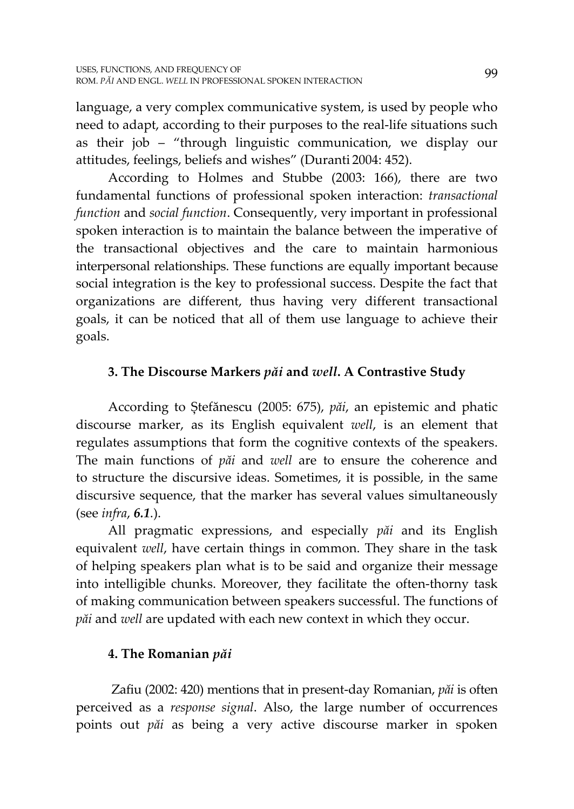language, a very complex communicative system, is used by people who need to adapt, according to their purposes to the real-life situations such as their job – "through linguistic communication, we display our attitudes, feelings, beliefs and wishes" (Duranti 2004: 452).

According to Holmes and Stubbe (2003: 166), there are two fundamental functions of professional spoken interaction: *transactional function* and *social function*. Consequently, very important in professional spoken interaction is to maintain the balance between the imperative of the transactional objectives and the care to maintain harmonious interpersonal relationships. These functions are equally important because social integration is the key to professional success. Despite the fact that organizations are different, thus having very different transactional goals, it can be noticed that all of them use language to achieve their goals.

# **3. The Discourse Markers** *păi* **and** *well***. A Contrastive Study**

According to Ștefănescu (2005: 675), *păi*, an epistemic and phatic discourse marker, as its English equivalent *well*, is an element that regulates assumptions that form the cognitive contexts of the speakers. The main functions of *păi* and *well* are to ensure the coherence and to structure the discursive ideas. Sometimes, it is possible, in the same discursive sequence, that the marker has several values simultaneously (see *infra*, *6.1*.).

All pragmatic expressions, and especially *păi* and its English equivalent *well*, have certain things in common. They share in the task of helping speakers plan what is to be said and organize their message into intelligible chunks. Moreover, they facilitate the often-thorny task of making communication between speakers successful. The functions of *păi* and *well* are updated with each new context in which they occur.

# **4. The Romanian** *păi*

Zafiu (2002: 420) mentions that in present-day Romanian, *păi* is often perceived as a *response signal*. Also, the large number of occurrences points out *păi* as being a very active discourse marker in spoken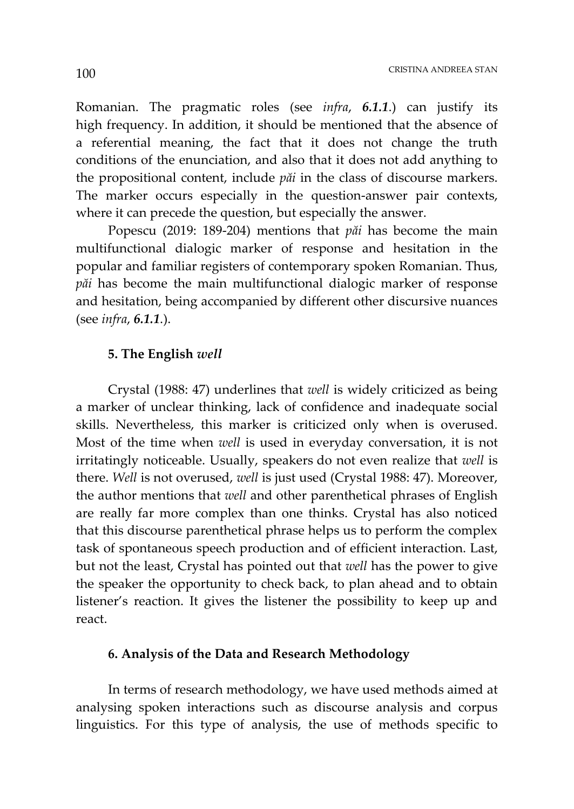Romanian. The pragmatic roles (see *infra*, *6.1.1*.) can justify its high frequency. In addition, it should be mentioned that the absence of a referential meaning, the fact that it does not change the truth conditions of the enunciation, and also that it does not add anything to the propositional content, include *păi* in the class of discourse markers. The marker occurs especially in the question-answer pair contexts, where it can precede the question, but especially the answer.

Popescu (2019: 189-204) mentions that *păi* has become the main multifunctional dialogic marker of response and hesitation in the popular and familiar registers of contemporary spoken Romanian. Thus, *păi* has become the main multifunctional dialogic marker of response and hesitation, being accompanied by different other discursive nuances (see *infra*, *6.1.1*.).

#### **5. The English** *well*

Crystal (1988: 47) underlines that *well* is widely criticized as being a marker of unclear thinking, lack of confidence and inadequate social skills. Nevertheless, this marker is criticized only when is overused. Most of the time when *well* is used in everyday conversation, it is not irritatingly noticeable. Usually, speakers do not even realize that *well* is there. *Well* is not overused, *well* is just used (Crystal 1988: 47). Moreover, the author mentions that *well* and other parenthetical phrases of English are really far more complex than one thinks. Crystal has also noticed that this discourse parenthetical phrase helps us to perform the complex task of spontaneous speech production and of efficient interaction. Last, but not the least, Crystal has pointed out that *well* has the power to give the speaker the opportunity to check back, to plan ahead and to obtain listener's reaction. It gives the listener the possibility to keep up and react.

### **6. Analysis of the Data and Research Methodology**

In terms of research methodology, we have used methods aimed at analysing spoken interactions such as discourse analysis and corpus linguistics. For this type of analysis, the use of methods specific to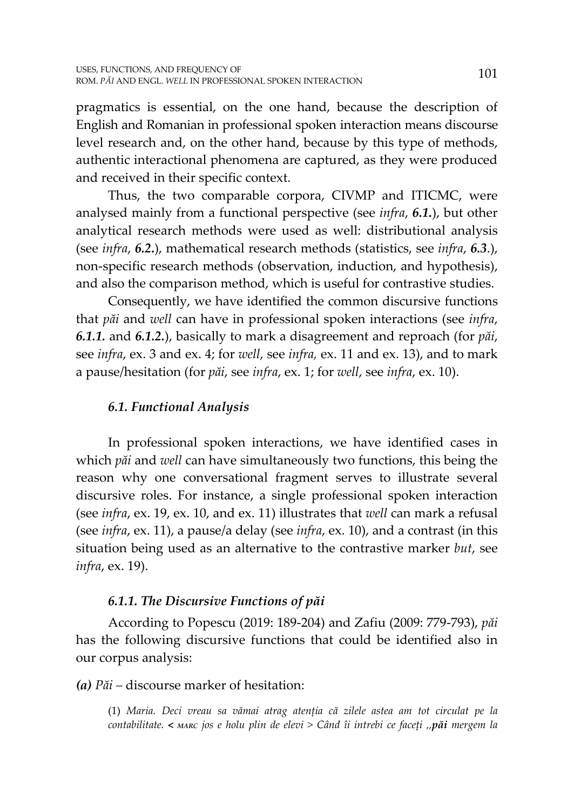pragmatics is essential, on the one hand, because the description of English and Romanian in professional spoken interaction means discourse level research and, on the other hand, because by this type of methods, authentic interactional phenomena are captured, as they were produced and received in their specific context.

Thus, the two comparable corpora, CIVMP and ITICMC, were analysed mainly from a functional perspective (see *infra*, *6.1.*), but other analytical research methods were used as well: distributional analysis (see *infra*, *6.2***.**), mathematical research methods (statistics, see *infra*, *6.3*.), non-specific research methods (observation, induction, and hypothesis), and also the comparison method, which is useful for contrastive studies.

Consequently, we have identified the common discursive functions that *păi* and *well* can have in professional spoken interactions (see *infra*, *6.1.1.* and *6.1.2.*), basically to mark a disagreement and reproach (for *păi*, see *infra*, ex. 3 and ex. 4; for *well*, see *infra,* ex. 11 and ex. 13), and to mark a pause/hesitation (for *păi*, see *infra*, ex. 1; for *well*, see *infra*, ex. 10).

# *6.1. Functional Analysis*

In professional spoken interactions, we have identified cases in which *păi* and *well* can have simultaneously two functions, this being the reason why one conversational fragment serves to illustrate several discursive roles. For instance, a single professional spoken interaction (see *infra*, ex. 19, ex. 10, and ex. 11) illustrates that *well* can mark a refusal (see *infra*, ex. 11), a pause/a delay (see *infra*, ex. 10), and a contrast (in this situation being used as an alternative to the contrastive marker *but*, see *infra*, ex. 19).

## *6.1.1. The Discursive Functions of păi*

According to Popescu (2019: 189-204) and Zafiu (2009: 779-793), *păi* has the following discursive functions that could be identified also in our corpus analysis:

## *(a) Păi –* discourse marker of hesitation:

(1) *Maria. Deci vreau sa vămai atrag atenția că zilele astea am tot circulat pe la contabilitate. < MARC jos e holu plin de elevi > Când îi intrebi ce faceți ,,păi mergem la*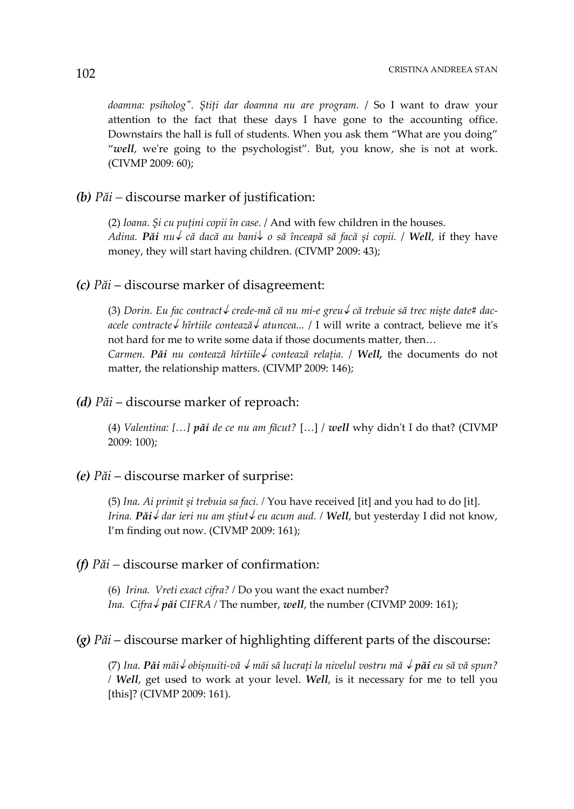*doamna: psiholog". Știți dar doamna nu are program.* / So I want to draw your attention to the fact that these days I have gone to the accounting office. Downstairs the hall is full of students. When you ask them "What are you doing" "*well*, we're going to the psychologist". But, you know, she is not at work. (CIVMP 2009: 60);

#### *(b) Păi –* discourse marker of justification:

(2) *Ioana. Și cu puțini copii în case.* / And with few children in the houses. *Adina. Păi nu că dacă au bani o să înceapă să facă și copii.* / *Well*, if they have money, they will start having children. (CIVMP 2009: 43);

### *(c) Păi* – discourse marker of disagreement:

(3) *Dorin. Eu fac contract crede-mă că nu mi-e greu că trebuie să trec niște date# dacacele contracte hîrtiile contează atuncea...* / I will write a contract, believe me it's not hard for me to write some data if those documents matter, then…

*Carmen. Păi nu contează hîrtiile contează relația.* / *Well,* the documents do not matter, the relationship matters. (CIVMP 2009: 146);

### *(d) Păi* – discourse marker of reproach:

(4) *Valentina: […] păi de ce nu am făcut?* […] / *well* why didn't I do that? (CIVMP 2009: 100);

### *(e) Păi* – discourse marker of surprise:

(5) *Ina. Ai primit și trebuia sa faci. /* You have received [it] and you had to do [it]. *Irina. Păi dar ieri nu am știut eu acum aud. / Well*, but yesterday I did not know, I'm finding out now. (CIVMP 2009: 161);

#### *(f) Păi –* discourse marker of confirmation:

(6) *Irina. Vreti exact cifra? /* Do you want the exact number? *Ina. Cifra* $\sqrt{pa}i$  *CIFRA* / The number, *well*, the number (CIVMP 2009: 161);

### *(g) Păi* – discourse marker of highlighting different parts of the discourse:

(7) *Ina. Păi măi obișnuiti-vă măi să lucrați la nivelul vostru mă păi eu să vă spun? / Well*, get used to work at your level. *Well*, is it necessary for me to tell you [this]? (CIVMP 2009: 161).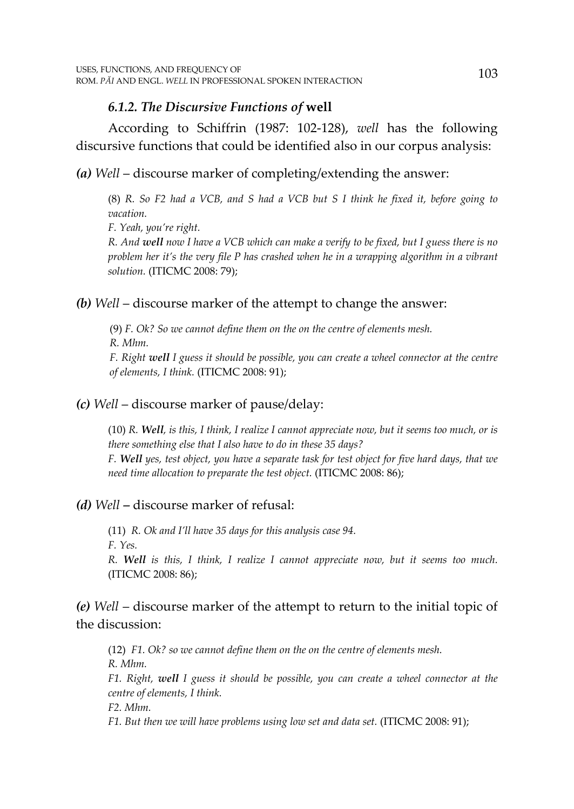## *6.1.2. The Discursive Functions of* **well**

According to Schiffrin (1987: 102-128), *well* has the following discursive functions that could be identified also in our corpus analysis:

*(a) Well* – discourse marker of completing/extending the answer:

(8) *R. So F2 had a VCB, and S had a VCB but S I think he fixed it, before going to vacation.*

*F. Yeah, you're right.*

*R. And well now I have a VCB which can make a verify to be fixed, but I guess there is no problem her it's the very file P has crashed when he in a wrapping algorithm in a vibrant solution.* (ITICMC 2008: 79);

## *(b) Well* – discourse marker of the attempt to change the answer:

(9) *F. Ok? So we cannot define them on the on the centre of elements mesh. R. Mhm.*

*F. Right well I guess it should be possible, you can create a wheel connector at the centre of elements, I think.* (ITICMC 2008: 91);

## *(c) Well* – discourse marker of pause/delay:

(10) *R. Well, is this, I think, I realize I cannot appreciate now, but it seems too much, or is there something else that I also have to do in these 35 days? F. Well yes, test object, you have a separate task for test object for five hard days, that we need time allocation to preparate the test object.* (ITICMC 2008: 86);

## *(d) Well –* discourse marker of refusal:

(11) *R. Ok and I'll have 35 days for this analysis case 94. F. Yes.*

*R. Well is this, I think, I realize I cannot appreciate now, but it seems too much.* (ITICMC 2008: 86);

# *(e) Well* – discourse marker of the attempt to return to the initial topic of the discussion:

(12) *F1. Ok? so we cannot define them on the on the centre of elements mesh. R. Mhm.*

*F1. Right, well I guess it should be possible, you can create a wheel connector at the centre of elements, I think.*

*F2. Mhm.*

*F1. But then we will have problems using low set and data set.* (ITICMC 2008: 91);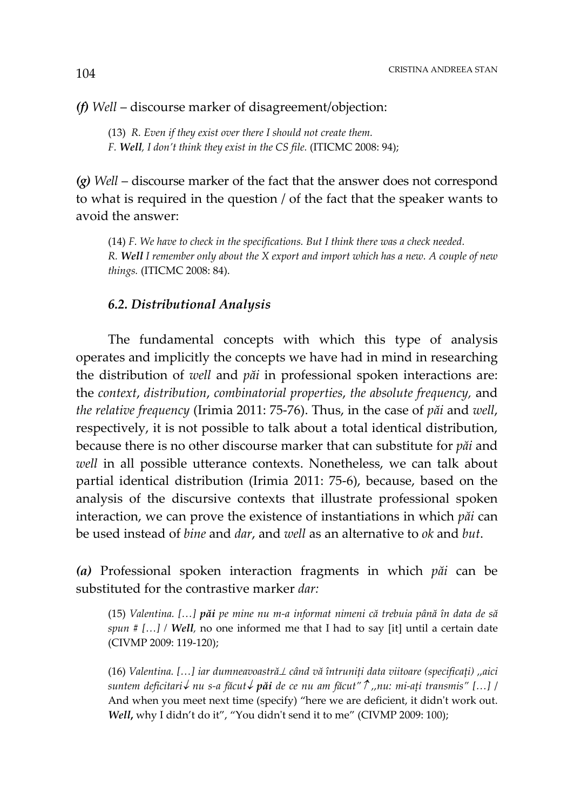### *(f) Well* – discourse marker of disagreement/objection:

(13) *R. Even if they exist over there I should not create them. F. Well, I don't think they exist in the CS file.* (ITICMC 2008: 94);

*(g) Well* – discourse marker of the fact that the answer does not correspond to what is required in the question / of the fact that the speaker wants to avoid the answer:

(14) *F. We have to check in the specifications. But I think there was a check needed. R. Well I remember only about the X export and import which has a new. A couple of new things.* (ITICMC 2008: 84).

### *6.2. Distributional Analysis*

The fundamental concepts with which this type of analysis operates and implicitly the concepts we have had in mind in researching the distribution of *well* and *păi* in professional spoken interactions are: the *context*, *distribution*, *combinatorial properties*, *the absolute frequency,* and *the relative frequency* (Irimia 2011: 75-76). Thus, in the case of *păi* and *well*, respectively, it is not possible to talk about a total identical distribution, because there is no other discourse marker that can substitute for *păi* and *well* in all possible utterance contexts. Nonetheless, we can talk about partial identical distribution (Irimia 2011: 75-6), because, based on the analysis of the discursive contexts that illustrate professional spoken interaction, we can prove the existence of instantiations in which *păi* can be used instead of *bine* and *dar*, and *well* as an alternative to *ok* and *but*.

*(a)* Professional spoken interaction fragments in which *păi* can be substituted for the contrastive marker *dar:*

(15) *Valentina. […] păi pe mine nu m-a informat nimeni că trebuia până în data de să spun # […] / Well,* no one informed me that I had to say [it] until a certain date (CIVMP 2009: 119-120);

(16) *Valentina. […] iar dumneavoastră*<sup>⊥</sup> *când vă întruniți data viitoare (specificați) ,,aici suntem deficitari nu s-a făcut păi de ce nu am făcut" ,,nu: mi-ați transmis" […]* / And when you meet next time (specify) "here we are deficient, it didn't work out. *Well***,** why I didn't do it", "You didn't send it to me" (CIVMP 2009: 100);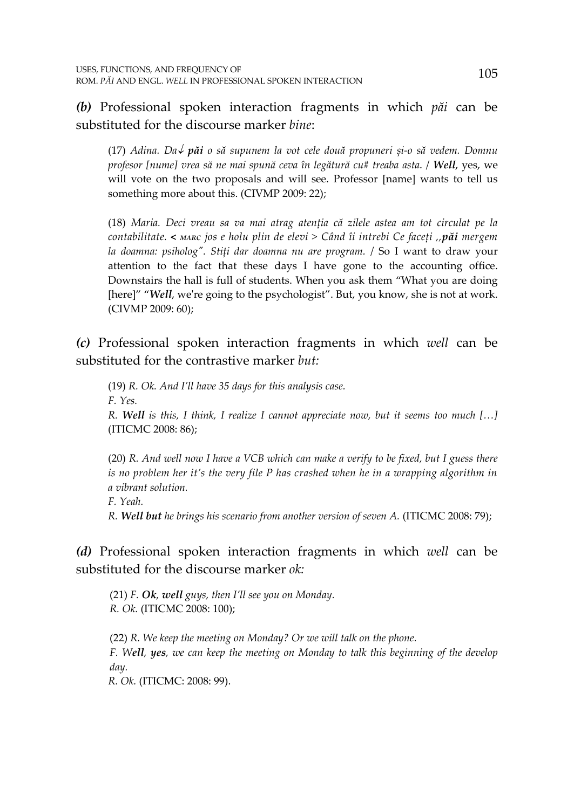*(b)* Professional spoken interaction fragments in which *păi* can be substituted for the discourse marker *bine*:

(17) *Adina. Da păi o să supunem la vot cele două propuneri și-o să vedem. Domnu profesor [nume] vrea să ne mai spună ceva în legătură cu# treaba asta*. / *Well*, yes, we will vote on the two proposals and will see. Professor [name] wants to tell us something more about this. (CIVMP 2009: 22);

(18) *Maria. Deci vreau sa va mai atrag atenția că zilele astea am tot circulat pe la contabilitate. < MARC jos e holu plin de elevi > Când îi intrebi Ce faceți ,,păi mergem la doamna: psiholog". Stiți dar doamna nu are program.* / So I want to draw your attention to the fact that these days I have gone to the accounting office. Downstairs the hall is full of students. When you ask them "What you are doing [here]" "Well, we're going to the psychologist". But, you know, she is not at work. (CIVMP 2009: 60);

*(c)* Professional spoken interaction fragments in which *well* can be substituted for the contrastive marker *but:*

(19) *R. Ok. And I'll have 35 days for this analysis case. F. Yes. R. Well is this, I think, I realize I cannot appreciate now, but it seems too much […]* (ITICMC 2008: 86);

(20) *R. And well now I have a VCB which can make a verify to be fixed, but I guess there is no problem her it's the very file P has crashed when he in a wrapping algorithm in a vibrant solution.*

*F. Yeah.*

*R. Well but he brings his scenario from another version of seven A.* (ITICMC 2008: 79);

*(d)* Professional spoken interaction fragments in which *well* can be substituted for the discourse marker *ok:*

(21) *F. Ok, well guys, then I'll see you on Monday. R. Ok.* (ITICMC 2008: 100);

(22) *R. We keep the meeting on Monday? Or we will talk on the phone. F. Well, yes, we can keep the meeting on Monday to talk this beginning of the develop day.*

 *R. Ok.* (ITICMC: 2008: 99).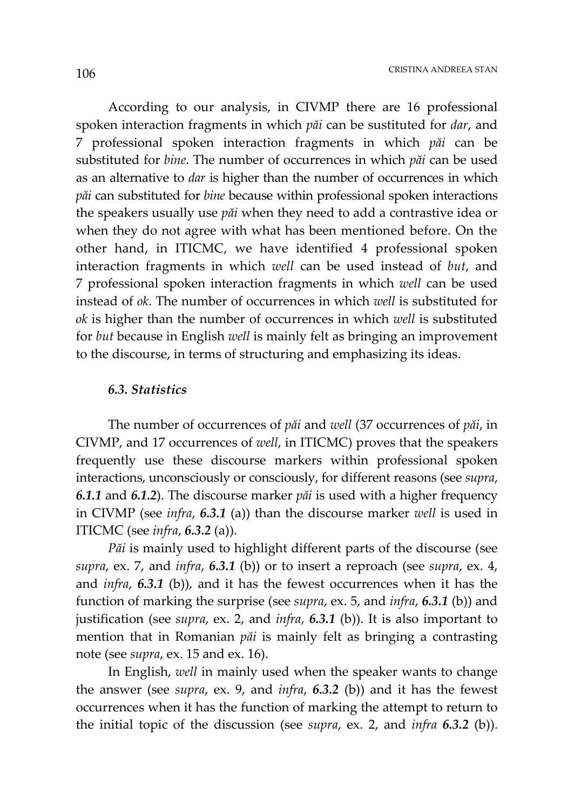According to our analysis, in CIVMP there are 16 professional spoken interaction fragments in which *păi* can be sustituted for *dar*, and 7 professional spoken interaction fragments in which *păi* can be substituted for *bine*. The number of occurrences in which *păi* can be used as an alternative to *dar* is higher than the number of occurrences in which *păi* can substituted for *bine* because within professional spoken interactions the speakers usually use *păi* when they need to add a contrastive idea or when they do not agree with what has been mentioned before. On the other hand, in ITICMC, we have identified 4 professional spoken interaction fragments in which *well* can be used instead of *but*, and 7 professional spoken interaction fragments in which *well* can be used instead of *ok*. The number of occurrences in which *well* is substituted for *ok* is higher than the number of occurrences in which *well* is substituted for *but* because in English *well* is mainly felt as bringing an improvement to the discourse, in terms of structuring and emphasizing its ideas.

#### *6.3. Statistics*

The number of occurrences of *păi* and *well* (37 occurrences of *păi*, in CIVMP, and 17 occurrences of *well*, in ITICMC) proves that the speakers frequently use these discourse markers within professional spoken interactions, unconsciously or consciously, for different reasons (see *supra*, *6.1.1* and *6.1.2*). The discourse marker *păi* is used with a higher frequency in CIVMP (see *infra*, *6.3.1* (a)) than the discourse marker *well* is used in ITICMC (see *infra*, *6.3.2* (a)).

*Păi* is mainly used to highlight different parts of the discourse (see *supra*, ex. 7, and *infra*, *6.3.1* (b)) or to insert a reproach (see *supra*, ex. 4, and *infra*, *6.3.1* (b)), and it has the fewest occurrences when it has the function of marking the surprise (see *supra*, ex. 5, and *infra*, *6.3.1* (b)) and justification (see *supra*, ex. 2, and *infra*, *6.3.1* (b)). It is also important to mention that in Romanian *păi* is mainly felt as bringing a contrasting note (see *supra*, ex. 15 and ex. 16).

In English, *well* in mainly used when the speaker wants to change the answer (see *supra*, ex. 9, and *infra*, *6.3.2* (b)) and it has the fewest occurrences when it has the function of marking the attempt to return to the initial topic of the discussion (see *supra*, ex. 2, and *infra 6.3.2* (b)).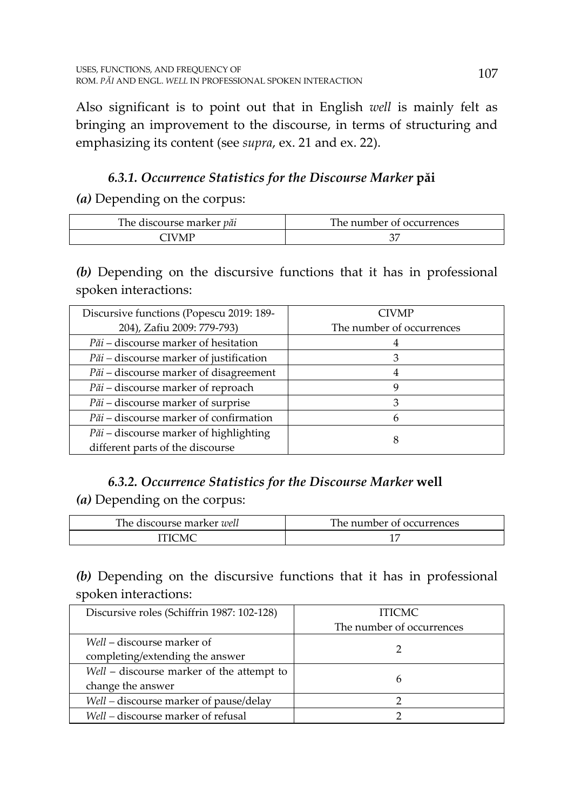Also significant is to point out that in English *well* is mainly felt as bringing an improvement to the discourse, in terms of structuring and emphasizing its content (see *supra*, ex. 21 and ex. 22).

# *6.3.1. Occurrence Statistics for the Discourse Marker* **păi**

## *(a)* Depending on the corpus:

| The discourse marker <i>păi</i> | The number of occurrences |
|---------------------------------|---------------------------|
| `IVMP                           |                           |

*(b)* Depending on the discursive functions that it has in professional spoken interactions:

| Discursive functions (Popescu 2019: 189-      | <b>CIVMP</b>              |
|-----------------------------------------------|---------------------------|
| 204), Zafiu 2009: 779-793)                    | The number of occurrences |
| Păi - discourse marker of hesitation          |                           |
| Păi – discourse marker of justification       |                           |
| <i>Păi</i> – discourse marker of disagreement |                           |
| Păi – discourse marker of reproach            | Y)                        |
| <i>Păi</i> – discourse marker of surprise     | З                         |
| Păi – discourse marker of confirmation        |                           |
| Păi - discourse marker of highlighting        | 8                         |
| different parts of the discourse              |                           |

# *6.3.2. Occurrence Statistics for the Discourse Marker* **well**

*(a)* Depending on the corpus:

| The discourse marker <i>well</i> | The number of occurrences |
|----------------------------------|---------------------------|
| . LICMC                          |                           |

*(b)* Depending on the discursive functions that it has in professional spoken interactions:

| Discursive roles (Schiffrin 1987: 102-128) | <b>ITICMC</b>             |
|--------------------------------------------|---------------------------|
|                                            | The number of occurrences |
| Well – discourse marker of                 |                           |
| completing/extending the answer            |                           |
| Well - discourse marker of the attempt to  | 6                         |
| change the answer                          |                           |
| Well – discourse marker of pause/delay     |                           |
| Well – discourse marker of refusal         |                           |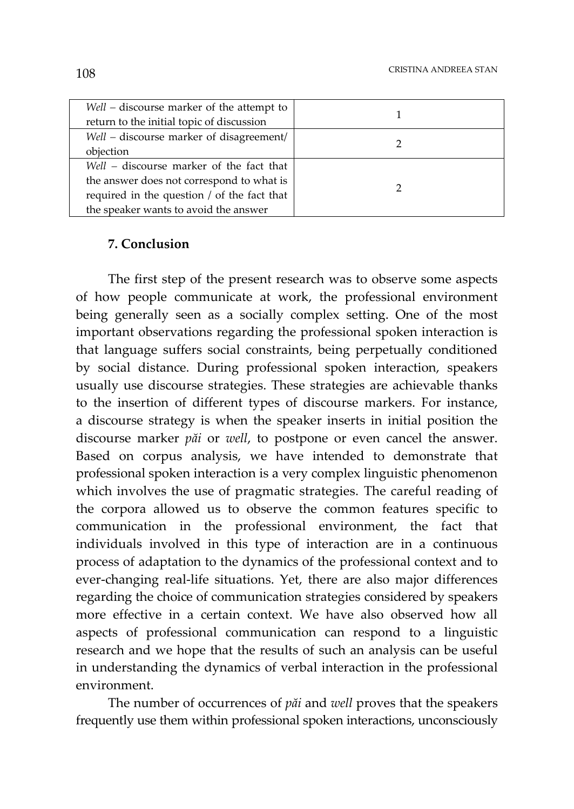| Well – discourse marker of the attempt to   |  |
|---------------------------------------------|--|
| return to the initial topic of discussion   |  |
| Well – discourse marker of disagreement/    |  |
| objection                                   |  |
| Well – discourse marker of the fact that    |  |
| the answer does not correspond to what is   |  |
| required in the question / of the fact that |  |
| the speaker wants to avoid the answer       |  |

### **7. Conclusion**

The first step of the present research was to observe some aspects of how people communicate at work, the professional environment being generally seen as a socially complex setting. One of the most important observations regarding the professional spoken interaction is that language suffers social constraints, being perpetually conditioned by social distance. During professional spoken interaction, speakers usually use discourse strategies. These strategies are achievable thanks to the insertion of different types of discourse markers. For instance, a discourse strategy is when the speaker inserts in initial position the discourse marker *păi* or *well*, to postpone or even cancel the answer. Based on corpus analysis, we have intended to demonstrate that professional spoken interaction is a very complex linguistic phenomenon which involves the use of pragmatic strategies. The careful reading of the corpora allowed us to observe the common features specific to communication in the professional environment, the fact that individuals involved in this type of interaction are in a continuous process of adaptation to the dynamics of the professional context and to ever-changing real-life situations. Yet, there are also major differences regarding the choice of communication strategies considered by speakers more effective in a certain context. We have also observed how all aspects of professional communication can respond to a linguistic research and we hope that the results of such an analysis can be useful in understanding the dynamics of verbal interaction in the professional environment.

The number of occurrences of *păi* and *well* proves that the speakers frequently use them within professional spoken interactions, unconsciously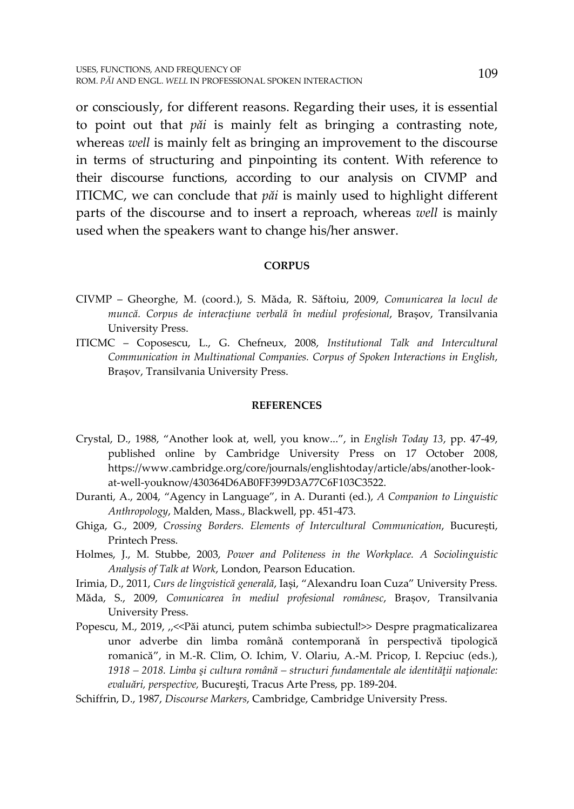or consciously, for different reasons. Regarding their uses, it is essential to point out that *păi* is mainly felt as bringing a contrasting note, whereas *well* is mainly felt as bringing an improvement to the discourse in terms of structuring and pinpointing its content. With reference to their discourse functions, according to our analysis on CIVMP and ITICMC, we can conclude that *păi* is mainly used to highlight different parts of the discourse and to insert a reproach, whereas *well* is mainly used when the speakers want to change his/her answer.

#### **CORPUS**

- CIVMP Gheorghe, M. (coord.), S. Măda, R. Săftoiu, 2009, *Comunicarea la locul de muncă. Corpus de interacțiune verbală în mediul profesional*, Brașov, Transilvania University Press.
- ITICMC Coposescu, L., G. Chefneux, 2008, *Institutional Talk and Intercultural Communication in Multinational Companies. Corpus of Spoken Interactions in English*, Brașov, Transilvania University Press.

#### **REFERENCES**

- Crystal, D., 1988, "Another look at, well, you know...", in *English Today 13*, pp. 47-49, published online by Cambridge University Press on 17 October 2008, https://www.cambridge.org/core/journals/englishtoday/article/abs/another-lookat-well-youknow/430364D6AB0FF399D3A77C6F103C3522.
- Duranti, A., 2004, "Agency in Language", in A. Duranti (ed.), *A Companion to Linguistic Anthropology*, Malden, Mass., Blackwell, pp. 451-473.
- Ghiga, G., 2009, *Crossing Borders. Elements of Intercultural Communication*, București, Printech Press.
- Holmes, J., M. Stubbe, 2003, *Power and Politeness in the Workplace. A Sociolinguistic Analysis of Talk at Work*, London, Pearson Education.
- Irimia, D., 2011, *Curs de lingvistică generală*, Iași, "Alexandru Ioan Cuza" University Press.
- Măda, S., 2009, *Comunicarea în mediul profesional românesc*, Brașov, Transilvania University Press.
- Popescu, M., 2019, ,,<<Păi atunci, putem schimba subiectul!>> Despre pragmaticalizarea unor adverbe din limba română contemporană în perspectivă tipologică romanică", in M.-R. Clim, O. Ichim, V. Olariu, A.-M. Pricop, I. Repciuc (eds.), *1918 – 2018. Limba şi cultura română – structuri fundamentale ale identităţii naţionale: evaluări, perspective,* Bucureşti, Tracus Arte Press, pp. 189-204.

Schiffrin, D., 1987, *Discourse Markers*, Cambridge, Cambridge University Press.